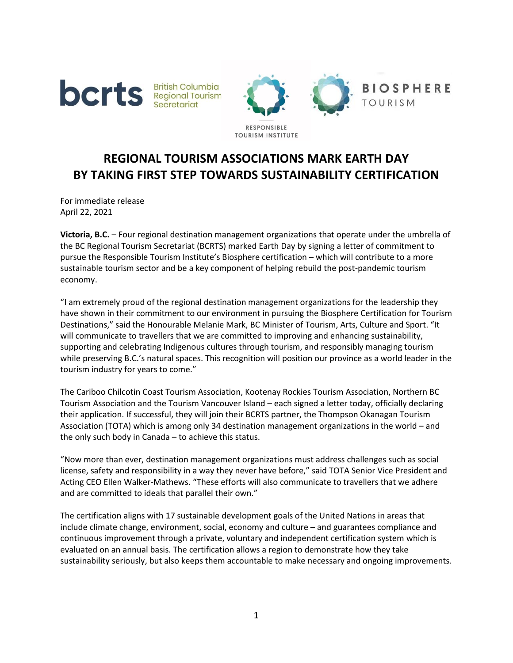



## **REGIONAL TOURISM ASSOCIATIONS MARK EARTH DAY BY TAKING FIRST STEP TOWARDS SUSTAINABILITY CERTIFICATION**

For immediate release April 22, 2021

**Victoria, B.C.** – Four regional destination management organizations that operate under the umbrella of the BC Regional Tourism Secretariat (BCRTS) marked Earth Day by signing a letter of commitment to pursue the Responsible Tourism Institute's Biosphere certification – which will contribute to a more sustainable tourism sector and be a key component of helping rebuild the post-pandemic tourism economy.

"I am extremely proud of the regional destination management organizations for the leadership they have shown in their commitment to our environment in pursuing the Biosphere Certification for Tourism Destinations," said the Honourable Melanie Mark, BC Minister of Tourism, Arts, Culture and Sport. "It will communicate to travellers that we are committed to improving and enhancing sustainability, supporting and celebrating Indigenous cultures through tourism, and responsibly managing tourism while preserving B.C.'s natural spaces. This recognition will position our province as a world leader in the tourism industry for years to come."

The Cariboo Chilcotin Coast Tourism Association, Kootenay Rockies Tourism Association, Northern BC Tourism Association and the Tourism Vancouver Island – each signed a letter today, officially declaring their application. If successful, they will join their BCRTS partner, the Thompson Okanagan Tourism Association (TOTA) which is among only 34 destination management organizations in the world – and the only such body in Canada – to achieve this status.

"Now more than ever, destination management organizations must address challenges such as social license, safety and responsibility in a way they never have before," said TOTA Senior Vice President and Acting CEO Ellen Walker-Mathews. "These efforts will also communicate to travellers that we adhere and are committed to ideals that parallel their own."

The certification aligns with 17 sustainable development goals of the United Nations in areas that include climate change, environment, social, economy and culture – and guarantees compliance and continuous improvement through a private, voluntary and independent certification system which is evaluated on an annual basis. The certification allows a region to demonstrate how they take sustainability seriously, but also keeps them accountable to make necessary and ongoing improvements.